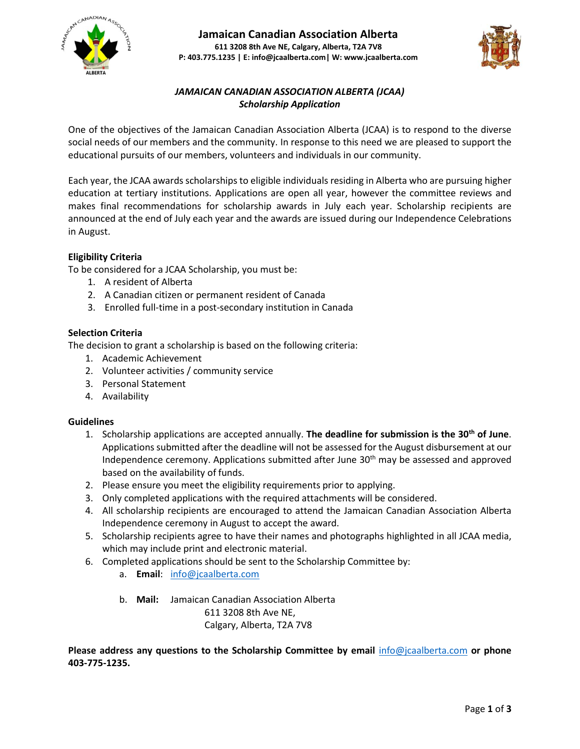



# *JAMAICAN CANADIAN ASSOCIATION ALBERTA (JCAA) Scholarship Application*

One of the objectives of the Jamaican Canadian Association Alberta (JCAA) is to respond to the diverse social needs of our members and the community. In response to this need we are pleased to support the educational pursuits of our members, volunteers and individuals in our community.

Each year, the JCAA awards scholarships to eligible individuals residing in Alberta who are pursuing higher education at tertiary institutions. Applications are open all year, however the committee reviews and makes final recommendations for scholarship awards in July each year. Scholarship recipients are announced at the end of July each year and the awards are issued during our Independence Celebrations in August.

## **Eligibility Criteria**

To be considered for a JCAA Scholarship, you must be:

- 1. A resident of Alberta
- 2. A Canadian citizen or permanent resident of Canada
- 3. Enrolled full-time in a post-secondary institution in Canada

### **Selection Criteria**

The decision to grant a scholarship is based on the following criteria:

- 1. Academic Achievement
- 2. Volunteer activities / community service
- 3. Personal Statement
- 4. Availability

### **Guidelines**

- 1. Scholarship applications are accepted annually. **The deadline for submission is the 30th of June**. Applications submitted after the deadline will not be assessed for the August disbursement at our Independence ceremony. Applications submitted after June 30<sup>th</sup> may be assessed and approved based on the availability of funds.
- 2. Please ensure you meet the eligibility requirements prior to applying.
- 3. Only completed applications with the required attachments will be considered.
- 4. All scholarship recipients are encouraged to attend the Jamaican Canadian Association Alberta Independence ceremony in August to accept the award.
- 5. Scholarship recipients agree to have their names and photographs highlighted in all JCAA media, which may include print and electronic material.
- 6. Completed applications should be sent to the Scholarship Committee by:
	- a. **Email**: [info@jcaalberta.com](mailto:info@jcaalberta.com)
	- b. **Mail:** Jamaican Canadian Association Alberta 611 3208 8th Ave NE,

Calgary, Alberta, T2A 7V8

**Please address any questions to the Scholarship Committee by email** [info@jcaalberta.com](mailto:info@jcaalberta.com) **or phone 403-775-1235.**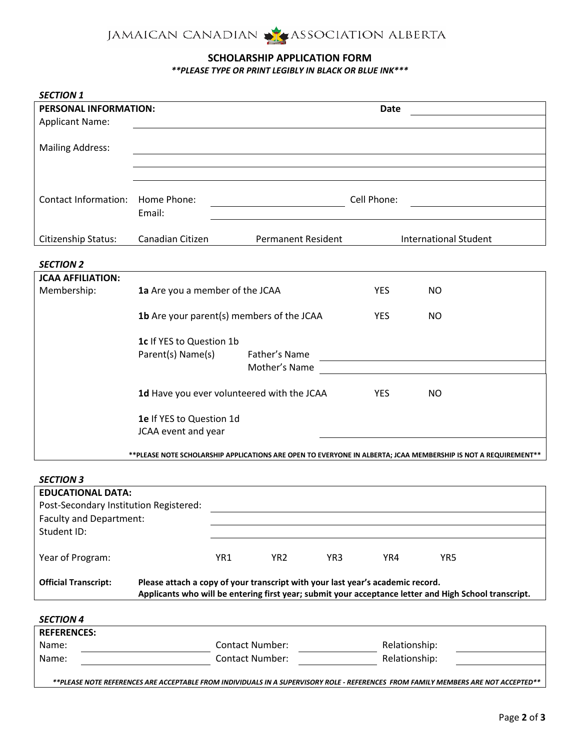

## **SCHOLARSHIP APPLICATION FORM**

*\*\*PLEASE TYPE OR PRINT LEGIBLY IN BLACK OR BLUE INK\*\*\**

| <b>SECTION 1</b>                                                                                               |                                                                                                                                                                                         |                                            |                                                                                                                       |                                                     |
|----------------------------------------------------------------------------------------------------------------|-----------------------------------------------------------------------------------------------------------------------------------------------------------------------------------------|--------------------------------------------|-----------------------------------------------------------------------------------------------------------------------|-----------------------------------------------------|
| PERSONAL INFORMATION:                                                                                          |                                                                                                                                                                                         |                                            | <b>Date</b>                                                                                                           |                                                     |
| <b>Applicant Name:</b>                                                                                         |                                                                                                                                                                                         |                                            |                                                                                                                       |                                                     |
|                                                                                                                |                                                                                                                                                                                         |                                            |                                                                                                                       |                                                     |
| <b>Mailing Address:</b>                                                                                        |                                                                                                                                                                                         |                                            |                                                                                                                       |                                                     |
|                                                                                                                |                                                                                                                                                                                         |                                            |                                                                                                                       |                                                     |
|                                                                                                                |                                                                                                                                                                                         |                                            |                                                                                                                       |                                                     |
|                                                                                                                |                                                                                                                                                                                         |                                            |                                                                                                                       |                                                     |
| <b>Contact Information:</b>                                                                                    | Home Phone:                                                                                                                                                                             | Cell Phone:                                |                                                                                                                       |                                                     |
|                                                                                                                | Email:                                                                                                                                                                                  |                                            |                                                                                                                       |                                                     |
| Citizenship Status:                                                                                            | Canadian Citizen                                                                                                                                                                        | <b>Permanent Resident</b>                  |                                                                                                                       | <b>International Student</b>                        |
|                                                                                                                |                                                                                                                                                                                         |                                            |                                                                                                                       |                                                     |
| <b>SECTION 2</b>                                                                                               |                                                                                                                                                                                         |                                            |                                                                                                                       |                                                     |
| <b>JCAA AFFILIATION:</b>                                                                                       |                                                                                                                                                                                         |                                            |                                                                                                                       |                                                     |
| Membership:                                                                                                    | 1a Are you a member of the JCAA                                                                                                                                                         |                                            | YES $\bigcap$                                                                                                         | <b>NO</b>                                           |
|                                                                                                                |                                                                                                                                                                                         |                                            |                                                                                                                       |                                                     |
|                                                                                                                |                                                                                                                                                                                         | 1b Are your parent(s) members of the JCAA  | YES $\bigcirc$                                                                                                        | <b>NO</b>                                           |
|                                                                                                                |                                                                                                                                                                                         |                                            |                                                                                                                       |                                                     |
|                                                                                                                | 1c If YES to Question 1b<br>Parent(s) Name(s)<br>Father's Name                                                                                                                          |                                            |                                                                                                                       |                                                     |
|                                                                                                                |                                                                                                                                                                                         | Mother's Name                              | <u> 1989 - Johann Harry Harry Harry Harry Harry Harry Harry Harry Harry Harry Harry Harry Harry Harry Harry Harry</u> |                                                     |
|                                                                                                                |                                                                                                                                                                                         |                                            |                                                                                                                       |                                                     |
|                                                                                                                |                                                                                                                                                                                         | 1d Have you ever volunteered with the JCAA | YES $\bigcap$                                                                                                         | NO<br>$\left( \begin{array}{c} \end{array} \right)$ |
|                                                                                                                |                                                                                                                                                                                         |                                            |                                                                                                                       |                                                     |
|                                                                                                                | 1e If YES to Question 1d                                                                                                                                                                |                                            |                                                                                                                       |                                                     |
|                                                                                                                | JCAA event and year                                                                                                                                                                     |                                            |                                                                                                                       |                                                     |
|                                                                                                                |                                                                                                                                                                                         |                                            |                                                                                                                       |                                                     |
| **PLEASE NOTE SCHOLARSHIP APPLICATIONS ARE OPEN TO EVERYONE IN ALBERTA; JCAA MEMBERSHIP IS NOT A REQUIREMENT** |                                                                                                                                                                                         |                                            |                                                                                                                       |                                                     |
| <b>SECTION 3</b>                                                                                               |                                                                                                                                                                                         |                                            |                                                                                                                       |                                                     |
| <b>EDUCATIONAL DATA:</b>                                                                                       |                                                                                                                                                                                         |                                            |                                                                                                                       |                                                     |
| Post-Secondary Institution Registered:                                                                         |                                                                                                                                                                                         |                                            |                                                                                                                       |                                                     |
| <b>Faculty and Department:</b>                                                                                 |                                                                                                                                                                                         |                                            |                                                                                                                       |                                                     |
| Student ID:                                                                                                    |                                                                                                                                                                                         |                                            |                                                                                                                       |                                                     |
|                                                                                                                |                                                                                                                                                                                         |                                            |                                                                                                                       |                                                     |
| Year of Program:                                                                                               |                                                                                                                                                                                         | YR1<br>YR2 $\bigcap$                       | YR3 $\bigcirc$<br>YR4 $\bigcirc$                                                                                      | YR5                                                 |
|                                                                                                                |                                                                                                                                                                                         |                                            |                                                                                                                       |                                                     |
| <b>Official Transcript:</b>                                                                                    | Please attach a copy of your transcript with your last year's academic record.<br>Applicants who will be entering first year; submit your acceptance letter and High School transcript. |                                            |                                                                                                                       |                                                     |
|                                                                                                                |                                                                                                                                                                                         |                                            |                                                                                                                       |                                                     |
| <b>SECTION 4</b>                                                                                               |                                                                                                                                                                                         |                                            |                                                                                                                       |                                                     |
| <b>REFERENCES:</b>                                                                                             |                                                                                                                                                                                         |                                            |                                                                                                                       |                                                     |
| Name:                                                                                                          |                                                                                                                                                                                         | <b>Contact Number:</b>                     | Relationship:                                                                                                         |                                                     |
| Name:                                                                                                          |                                                                                                                                                                                         | <b>Contact Number:</b>                     | Relationship:                                                                                                         |                                                     |

*\*\*PLEASE NOTE REFERENCES ARE ACCEPTABLE FROM INDIVIDUALS IN A SUPERVISORY ROLE - REFERENCES FROM FAMILY MEMBERS ARE NOT ACCEPTED\*\**